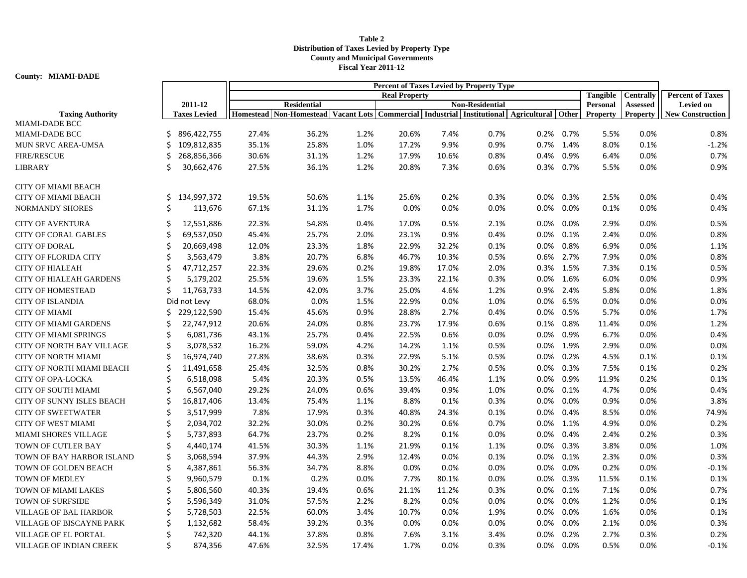## **Table 2 Distribution of Taxes Levied by Property Type County and Municipal Governments Fiscal Year 2011-12**

**County: MIAMI-DADE**

|                                                  |     |                     | Percent of Taxes Levied by Property Type<br><b>Tangible</b> |                                                                                                          |         |       |       |                        |         |         |                 |                  |                         |
|--------------------------------------------------|-----|---------------------|-------------------------------------------------------------|----------------------------------------------------------------------------------------------------------|---------|-------|-------|------------------------|---------|---------|-----------------|------------------|-------------------------|
|                                                  |     |                     | <b>Real Property</b>                                        |                                                                                                          |         |       |       |                        |         |         |                 | <b>Centrally</b> | <b>Percent of Taxes</b> |
|                                                  |     | 2011-12             |                                                             | <b>Residential</b>                                                                                       |         |       |       | <b>Non-Residential</b> |         |         | Personal        | Assessed         | <b>Levied on</b>        |
| <b>Taxing Authority</b><br><b>MIAMI-DADE BCC</b> |     | <b>Taxes Levied</b> |                                                             | Homestead   Non-Homestead   Vacant Lots   Commercial   Industrial   Institutional   Agricultural   Other |         |       |       |                        |         |         | <b>Property</b> | Property         | <b>New Construction</b> |
| <b>MIAMI-DADE BCC</b>                            | Ś   | 896,422,755         | 27.4%                                                       | 36.2%                                                                                                    | 1.2%    | 20.6% | 7.4%  | 0.7%                   | 0.2%    | $0.7\%$ | 5.5%            | 0.0%             | 0.8%                    |
| MUN SRVC AREA-UMSA                               | Ś   | 109,812,835         | 35.1%                                                       | 25.8%                                                                                                    | 1.0%    | 17.2% | 9.9%  | 0.9%                   | 0.7%    | 1.4%    | 8.0%            | 0.1%             | $-1.2%$                 |
| <b>FIRE/RESCUE</b>                               | Ś   | 268,856,366         | 30.6%                                                       | 31.1%                                                                                                    | 1.2%    | 17.9% | 10.6% | 0.8%                   | 0.4%    | 0.9%    | 6.4%            | 0.0%             | 0.7%                    |
| <b>LIBRARY</b>                                   | Ś   | 30,662,476          | 27.5%                                                       | 36.1%                                                                                                    | 1.2%    | 20.8% | 7.3%  | 0.6%                   | 0.3%    | 0.7%    | 5.5%            | 0.0%             | 0.9%                    |
|                                                  |     |                     |                                                             |                                                                                                          |         |       |       |                        |         |         |                 |                  |                         |
| <b>CITY OF MIAMI BEACH</b>                       |     |                     |                                                             |                                                                                                          |         |       |       |                        |         |         |                 |                  |                         |
| <b>CITY OF MIAMI BEACH</b>                       | \$. | 134,997,372         | 19.5%                                                       | 50.6%                                                                                                    | 1.1%    | 25.6% | 0.2%  | 0.3%                   | 0.0%    | 0.3%    | 2.5%            | 0.0%             | 0.4%                    |
| <b>NORMANDY SHORES</b>                           | Ś   | 113,676             | 67.1%                                                       | 31.1%                                                                                                    | 1.7%    | 0.0%  | 0.0%  | 0.0%                   | 0.0%    | 0.0%    | 0.1%            | 0.0%             | 0.4%                    |
| <b>CITY OF AVENTURA</b>                          | Ś   | 12,551,886          | 22.3%                                                       | 54.8%                                                                                                    | 0.4%    | 17.0% | 0.5%  | 2.1%                   | 0.0%    | 0.0%    | 2.9%            | 0.0%             | 0.5%                    |
| <b>CITY OF CORAL GABLES</b>                      | Ś   | 69,537,050          | 45.4%                                                       | 25.7%                                                                                                    | 2.0%    | 23.1% | 0.9%  | 0.4%                   | 0.0%    | 0.1%    | 2.4%            | 0.0%             | 0.8%                    |
| <b>CITY OF DORAL</b>                             | Ś   | 20,669,498          | 12.0%                                                       | 23.3%                                                                                                    | 1.8%    | 22.9% | 32.2% | 0.1%                   | 0.0%    | 0.8%    | 6.9%            | 0.0%             | 1.1%                    |
| <b>CITY OF FLORIDA CITY</b>                      | \$  | 3,563,479           | 3.8%                                                        | 20.7%                                                                                                    | 6.8%    | 46.7% | 10.3% | 0.5%                   | 0.6%    | 2.7%    | 7.9%            | 0.0%             | 0.8%                    |
| <b>CITY OF HIALEAH</b>                           | Ś   | 47,712,257          | 22.3%                                                       | 29.6%                                                                                                    | 0.2%    | 19.8% | 17.0% | 2.0%                   | 0.3%    | 1.5%    | 7.3%            | 0.1%             | 0.5%                    |
| <b>CITY OF HIALEAH GARDENS</b>                   | Ś   | 5,179,202           | 25.5%                                                       | 19.6%                                                                                                    | 1.5%    | 23.3% | 22.1% | 0.3%                   | $0.0\%$ | 1.6%    | 6.0%            | 0.0%             | 0.9%                    |
| <b>CITY OF HOMESTEAD</b>                         | Ś   | 11,763,733          | 14.5%                                                       | 42.0%                                                                                                    | 3.7%    | 25.0% | 4.6%  | 1.2%                   | 0.9%    | 2.4%    | 5.8%            | 0.0%             | 1.8%                    |
| <b>CITY OF ISLANDIA</b>                          |     | Did not Levy        | 68.0%                                                       | 0.0%                                                                                                     | 1.5%    | 22.9% | 0.0%  | 1.0%                   | 0.0%    | 6.5%    | 0.0%            | 0.0%             | 0.0%                    |
| <b>CITY OF MIAMI</b>                             | Ś   | 229,122,590         | 15.4%                                                       | 45.6%                                                                                                    | 0.9%    | 28.8% | 2.7%  | 0.4%                   | 0.0%    | 0.5%    | 5.7%            | 0.0%             | 1.7%                    |
| <b>CITY OF MIAMI GARDENS</b>                     | Ś   | 22,747,912          | 20.6%                                                       | 24.0%                                                                                                    | 0.8%    | 23.7% | 17.9% | 0.6%                   | 0.1%    | 0.8%    | 11.4%           | 0.0%             | 1.2%                    |
| <b>CITY OF MIAMI SPRINGS</b>                     | Ś   | 6,081,736           | 43.1%                                                       | 25.7%                                                                                                    | 0.4%    | 22.5% | 0.6%  | 0.0%                   | 0.0%    | 0.9%    | 6.7%            | 0.0%             | 0.4%                    |
| <b>CITY OF NORTH BAY VILLAGE</b>                 | \$  | 3,078,532           | 16.2%                                                       | 59.0%                                                                                                    | 4.2%    | 14.2% | 1.1%  | 0.5%                   | 0.0%    | 1.9%    | 2.9%            | 0.0%             | 0.0%                    |
| <b>CITY OF NORTH MIAMI</b>                       | Ś   | 16,974,740          | 27.8%                                                       | 38.6%                                                                                                    | 0.3%    | 22.9% | 5.1%  | 0.5%                   | 0.0%    | 0.2%    | 4.5%            | 0.1%             | 0.1%                    |
| CITY OF NORTH MIAMI BEACH                        | Ś   | 11,491,658          | 25.4%                                                       | 32.5%                                                                                                    | 0.8%    | 30.2% | 2.7%  | 0.5%                   | 0.0%    | 0.3%    | 7.5%            | 0.1%             | 0.2%                    |
| <b>CITY OF OPA-LOCKA</b>                         | Ś   | 6,518,098           | 5.4%                                                        | 20.3%                                                                                                    | 0.5%    | 13.5% | 46.4% | 1.1%                   | 0.0%    | 0.9%    | 11.9%           | 0.2%             | 0.1%                    |
| <b>CITY OF SOUTH MIAMI</b>                       | Ś   | 6,567,040           | 29.2%                                                       | 24.0%                                                                                                    | 0.6%    | 39.4% | 0.9%  | 1.0%                   | 0.0%    | 0.1%    | 4.7%            | 0.0%             | 0.4%                    |
| CITY OF SUNNY ISLES BEACH                        | Ś   | 16,817,406          | 13.4%                                                       | 75.4%                                                                                                    | 1.1%    | 8.8%  | 0.1%  | 0.3%                   | 0.0%    | 0.0%    | 0.9%            | 0.0%             | 3.8%                    |
| <b>CITY OF SWEETWATER</b>                        | Ś   | 3,517,999           | 7.8%                                                        | 17.9%                                                                                                    | 0.3%    | 40.8% | 24.3% | 0.1%                   | 0.0%    | 0.4%    | 8.5%            | 0.0%             | 74.9%                   |
| <b>CITY OF WEST MIAMI</b>                        | \$  | 2,034,702           | 32.2%                                                       | 30.0%                                                                                                    | 0.2%    | 30.2% | 0.6%  | 0.7%                   | 0.0%    | 1.1%    | 4.9%            | 0.0%             | 0.2%                    |
| <b>MIAMI SHORES VILLAGE</b>                      | Ś   | 5,737,893           | 64.7%                                                       | 23.7%                                                                                                    | 0.2%    | 8.2%  | 0.1%  | 0.0%                   | 0.0%    | 0.4%    | 2.4%            | 0.2%             | 0.3%                    |
| TOWN OF CUTLER BAY                               | \$  | 4,440,174           | 41.5%                                                       | 30.3%                                                                                                    | 1.1%    | 21.9% | 0.1%  | 1.1%                   | 0.0%    | 0.3%    | 3.8%            | 0.0%             | 1.0%                    |
| TOWN OF BAY HARBOR ISLAND                        | \$  | 3,068,594           | 37.9%                                                       | 44.3%                                                                                                    | 2.9%    | 12.4% | 0.0%  | 0.1%                   | 0.0%    | 0.1%    | 2.3%            | 0.0%             | 0.3%                    |
| <b>TOWN OF GOLDEN BEACH</b>                      | Ś   | 4,387,861           | 56.3%                                                       | 34.7%                                                                                                    | 8.8%    | 0.0%  | 0.0%  | 0.0%                   | 0.0%    | 0.0%    | 0.2%            | 0.0%             | $-0.1%$                 |
| <b>TOWN OF MEDLEY</b>                            | Ś   | 9,960,579           | 0.1%                                                        | 0.2%                                                                                                     | $0.0\%$ | 7.7%  | 80.1% | 0.0%                   | 0.0%    | 0.3%    | 11.5%           | 0.1%             | 0.1%                    |
| TOWN OF MIAMI LAKES                              | \$  | 5,806,560           | 40.3%                                                       | 19.4%                                                                                                    | 0.6%    | 21.1% | 11.2% | 0.3%                   | 0.0%    | 0.1%    | 7.1%            | 0.0%             | 0.7%                    |
| <b>TOWN OF SURFSIDE</b>                          | Ś   | 5,596,349           | 31.0%                                                       | 57.5%                                                                                                    | 2.2%    | 8.2%  | 0.0%  | 0.0%                   | 0.0%    | 0.0%    | 1.2%            | 0.0%             | 0.1%                    |
| VILLAGE OF BAL HARBOR                            | Ś   | 5,728,503           | 22.5%                                                       | 60.0%                                                                                                    | 3.4%    | 10.7% | 0.0%  | 1.9%                   | 0.0%    | 0.0%    | 1.6%            | 0.0%             | 0.1%                    |
| <b>VILLAGE OF BISCAYNE PARK</b>                  | Ś   | 1,132,682           | 58.4%                                                       | 39.2%                                                                                                    | 0.3%    | 0.0%  | 0.0%  | 0.0%                   | 0.0%    | 0.0%    | 2.1%            | 0.0%             | 0.3%                    |
| VILLAGE OF EL PORTAL                             | Ś   | 742,320             | 44.1%                                                       | 37.8%                                                                                                    | 0.8%    | 7.6%  | 3.1%  | 3.4%                   | 0.0%    | 0.2%    | 2.7%            | 0.3%             | 0.2%                    |
| VILLAGE OF INDIAN CREEK                          | Ś   | 874,356             | 47.6%                                                       | 32.5%                                                                                                    | 17.4%   | 1.7%  | 0.0%  | 0.3%                   | 0.0%    | $0.0\%$ | 0.5%            | 0.0%             | $-0.1%$                 |